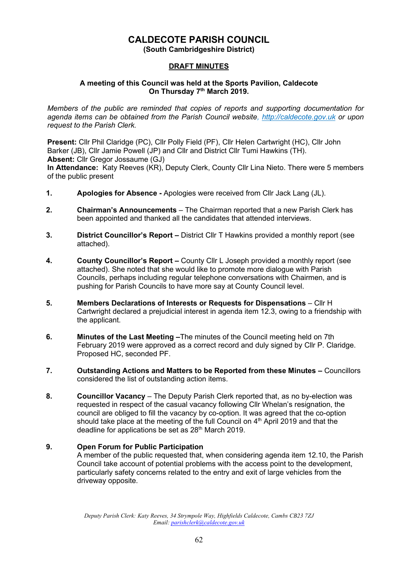## **CALDECOTE PARISH COUNCIL**

**(South Cambridgeshire District)**

### **DRAFT MINUTES**

#### **A meeting of this Council was held at the Sports Pavilion, Caldecote On Thursday 7 th March 2019.**

*Members of the public are reminded that copies of reports and supporting documentation for agenda items can be obtained from the Parish Council website, [http://caldecote.gov.uk](http://caldecote.gov.uk/) or upon request to the Parish Clerk.*

**Present:** Cllr Phil Claridge (PC), Cllr Polly Field (PF), Cllr Helen Cartwright (HC), Cllr John Barker (JB), Cllr Jamie Powell (JP) and Cllr and District Cllr Tumi Hawkins (TH). **Absent: Cllr Gregor Jossaume (GJ)** 

**In Attendance:** Katy Reeves (KR), Deputy Clerk, County Cllr Lina Nieto. There were 5 members of the public present

- **1. Apologies for Absence -** Apologies were received from Cllr Jack Lang (JL).
- **2. Chairman's Announcements** The Chairman reported that a new Parish Clerk has been appointed and thanked all the candidates that attended interviews.
- **3. District Councillor's Report –** District Cllr T Hawkins provided a monthly report (see attached).
- **4. County Councillor's Report** *–* County Cllr L Joseph provided a monthly report (see attached). She noted that she would like to promote more dialogue with Parish Councils, perhaps including regular telephone conversations with Chairmen, and is pushing for Parish Councils to have more say at County Council level.
- **5. Members Declarations of Interests or Requests for Dispensations** Cllr H Cartwright declared a prejudicial interest in agenda item 12.3, owing to a friendship with the applicant.
- **6. Minutes of the Last Meeting –**The minutes of the Council meeting held on 7th February 2019 were approved as a correct record and duly signed by Cllr P. Claridge. Proposed HC, seconded PF.
- **7. Outstanding Actions and Matters to be Reported from these Minutes Councillors** considered the list of outstanding action items.
- **8. Councillor Vacancy** The Deputy Parish Clerk reported that, as no by-election was requested in respect of the casual vacancy following Cllr Whelan's resignation, the council are obliged to fill the vacancy by co-option. It was agreed that the co-option should take place at the meeting of the full Council on 4<sup>th</sup> April 2019 and that the deadline for applications be set as 28<sup>th</sup> March 2019.

### **9. Open Forum for Public Participation**

A member of the public requested that, when considering agenda item 12.10, the Parish Council take account of potential problems with the access point to the development, particularly safety concerns related to the entry and exit of large vehicles from the driveway opposite.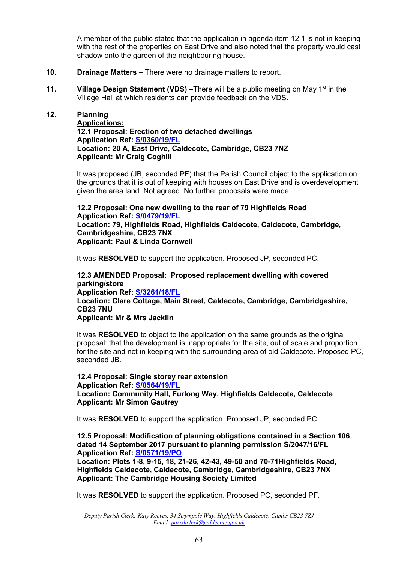A member of the public stated that the application in agenda item 12.1 is not in keeping with the rest of the properties on East Drive and also noted that the property would cast shadow onto the garden of the neighbouring house.

- **10. Drainage Matters –** There were no drainage matters to report.
- **11. Village Design Statement (VDS)** –There will be a public meeting on May 1<sup>st</sup> in the Village Hall at which residents can provide feedback on the VDS.

**12. Planning Applications: 12.1 Proposal: Erection of two detached dwellings Application Ref: [S/0360/19/FL](http://plan.scambs.gov.uk/swiftlg/apas/run/WPHAPPDETAIL.DisplayUrl?theApnID=S/0360/19/FL&backURL=%253Ca%2520href%253Dwphappcriteria.display%253FpaSearchKey%253D1880660%253ESearch%2520Criteria%253C%252Fa%253E%20%3E%20%3Ca%20href%3D%27wphappsearchres.displayResultsURL%3FResultID%3D2467368%2526StartIndex%3D1%2526SortOrder%3Drgndat%3Adesc%2526DispResultsAs%3DWPHAPPSEARCHRES%2526BackURL%3D%253Ca%2520href%253Dwphappcriteria.display%253FpaSearchKey%253D1880660%253ESearch%2520Criteria%253C%252Fa%253E%27%3ESearch%20Results%3C%2Fa%3E) Location: 20 A, East Drive, Caldecote, Cambridge, CB23 7NZ Applicant: Mr Craig Coghill**

> It was proposed (JB, seconded PF) that the Parish Council object to the application on the grounds that it is out of keeping with houses on East Drive and is overdevelopment given the area land. Not agreed. No further proposals were made.

**12.2 Proposal: One new dwelling to the rear of 79 Highfields Road Application Ref: [S/0479/19/FL](http://plan.scambs.gov.uk/swiftlg/apas/run/WPHAPPDETAIL.DisplayUrl?theApnID=S/0479/19/FL&backURL=%253Ca%2520href%253Dwphappcriteria.display%253FpaSearchKey%253D1880677%253ESearch%2520Criteria%253C%252Fa%253E%20%3E%20%3Ca%20href%3D%27wphappsearchres.displayResultsURL%3FResultID%3D2467385%2526StartIndex%3D1%2526SortOrder%3Drgndat%3Adesc%2526DispResultsAs%3DWPHAPPSEARCHRES%2526BackURL%3D%253Ca%2520href%253Dwphappcriteria.display%253FpaSearchKey%253D1880677%253ESearch%2520Criteria%253C%252Fa%253E%27%3ESearch%20Results%3C%2Fa%3E) Location: 79, Highfields Road, Highfields Caldecote, Caldecote, Cambridge, Cambridgeshire, CB23 7NX Applicant: Paul & Linda Cornwell**

It was **RESOLVED** to support the application. Proposed JP, seconded PC.

**12.3 AMENDED Proposal: Proposed replacement dwelling with covered parking/store Application Ref: [S/3261/18/FL](http://plan.scambs.gov.uk/swiftlg/apas/run/WPHAPPDETAIL.DisplayUrl?theApnID=S/3261/18/FL&backURL=%253Ca%2520href%253Dwphappcriteria.display%253FpaSearchKey%253D1880682%253ESearch%2520Criteria%253C%252Fa%253E%20%3E%20%3Ca%20href%3D%27wphappsearchres.displayResultsURL%3FResultID%3D2467390%2526StartIndex%3D1%2526SortOrder%3Drgndat%3Adesc%2526DispResultsAs%3DWPHAPPSEARCHRES%2526BackURL%3D%253Ca%2520href%253Dwphappcriteria.display%253FpaSearchKey%253D1880682%253ESearch%2520Criteria%253C%252Fa%253E%27%3ESearch%20Results%3C%2Fa%3E) Location: Clare Cottage, Main Street, Caldecote, Cambridge, Cambridgeshire, CB23 7NU Applicant: Mr & Mrs Jacklin**

It was **RESOLVED** to object to the application on the same grounds as the original proposal: that the development is inappropriate for the site, out of scale and proportion for the site and not in keeping with the surrounding area of old Caldecote. Proposed PC, seconded JB.

**12.4 Proposal: Single storey rear extension Application Ref: [S/0564/19/FL](http://plan.scambs.gov.uk/swiftlg/apas/run/WPHAPPDETAIL.DisplayUrl?theApnID=S/0564/19/FL&backURL=%253Ca%2520href%253Dwphappcriteria.display%253FpaSearchKey%253D1880688%253ESearch%2520Criteria%253C%252Fa%253E%20%3E%20%3Ca%20href%3D%27wphappsearchres.displayResultsURL%3FResultID%3D2467396%2526StartIndex%3D1%2526SortOrder%3Drgndat%3Adesc%2526DispResultsAs%3DWPHAPPSEARCHRES%2526BackURL%3D%253Ca%2520href%253Dwphappcriteria.display%253FpaSearchKey%253D1880688%253ESearch%2520Criteria%253C%252Fa%253E%27%3ESearch%20Results%3C%2Fa%3E) Location: Community Hall, Furlong Way, Highfields Caldecote, Caldecote Applicant: Mr Simon Gautrey**

It was **RESOLVED** to support the application. Proposed JP, seconded PC.

**12.5 Proposal: Modification of planning obligations contained in a Section 106 dated 14 September 2017 pursuant to planning permission S/2047/16/FL Application Ref: [S/0571/19/PO](http://plan.scambs.gov.uk/swiftlg/apas/run/WPHAPPDETAIL.DisplayUrl?theApnID=S/0571/19/PO&backURL=%253Ca%2520href%253Dwphappcriteria.display%253FpaSearchKey%253D1880691%253ESearch%2520Criteria%253C%252Fa%253E%20%3E%20%3Ca%20href%3D%27wphappsearchres.displayResultsURL%3FResultID%3D2467399%2526StartIndex%3D1%2526SortOrder%3Drgndat%3Adesc%2526DispResultsAs%3DWPHAPPSEARCHRES%2526BackURL%3D%253Ca%2520href%253Dwphappcriteria.display%253FpaSearchKey%253D1880691%253ESearch%2520Criteria%253C%252Fa%253E%27%3ESearch%20Results%3C%2Fa%3E)**

**Location: Plots 1-8, 9-15, 18, 21-26, 42-43, 49-50 and 70-71Highfields Road, Highfields Caldecote, Caldecote, Cambridge, Cambridgeshire, CB23 7NX Applicant: The Cambridge Housing Society Limited**

It was **RESOLVED** to support the application. Proposed PC, seconded PF.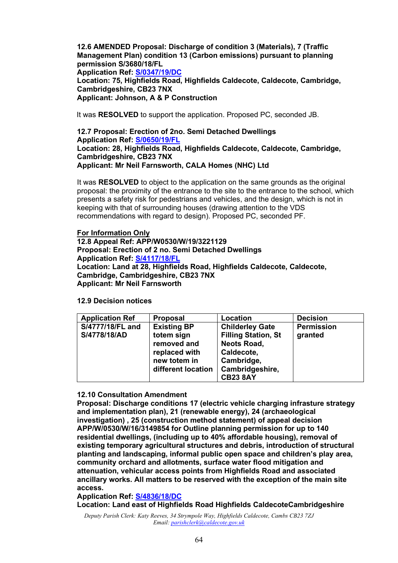**12.6 AMENDED Proposal: Discharge of condition 3 (Materials), 7 (Traffic Management Plan) condition 13 (Carbon emissions) pursuant to planning permission S/3680/18/FL**

**Application Ref: [S/0347/19/DC](http://plan.scambs.gov.uk/swiftlg/apas/run/WPHAPPDETAIL.DisplayUrl?theApnID=S/0347/19/DC&backURL=%253Ca%2520href%253Dwphappcriteria.display%253FpaSearchKey%253D1883863%253ESearch%2520Criteria%253C%252Fa%253E%20%3E%20%3Ca%20href%3D%27wphappsearchres.displayResultsURL%3FResultID%3D2471005%2526StartIndex%3D1%2526SortOrder%3Drgndat%3Adesc%2526DispResultsAs%3DWPHAPPSEARCHRES%2526BackURL%3D%253Ca%2520href%253Dwphappcriteria.display%253FpaSearchKey%253D1883863%253ESearch%2520Criteria%253C%252Fa%253E%27%3ESearch%20Results%3C%2Fa%3E)**

**Location: 75, Highfields Road, Highfields Caldecote, Caldecote, Cambridge, Cambridgeshire, CB23 7NX Applicant: Johnson, A & P Construction**

It was **RESOLVED** to support the application. Proposed PC, seconded JB.

**12.7 Proposal: Erection of 2no. Semi Detached Dwellings Application Ref: [S/0650/19/FL](http://plan.scambs.gov.uk/swiftlg/apas/run/WPHAPPDETAIL.DisplayUrl?theApnID=S/0650/19/FL&backURL=%253Ca%2520href%253Dwphappcriteria.display%253FpaSearchKey%253D1883865%253ESearch%2520Criteria%253C%252Fa%253E%20%3E%20%3Ca%20href%3D%27wphappsearchres.displayResultsURL%3FResultID%3D2471007%2526StartIndex%3D1%2526SortOrder%3Drgndat%3Adesc%2526DispResultsAs%3DWPHAPPSEARCHRES%2526BackURL%3D%253Ca%2520href%253Dwphappcriteria.display%253FpaSearchKey%253D1883865%253ESearch%2520Criteria%253C%252Fa%253E%27%3ESearch%20Results%3C%2Fa%3E) Location: 28, Highfields Road, Highfields Caldecote, Caldecote, Cambridge, Cambridgeshire, CB23 7NX Applicant: Mr Neil Farnsworth, CALA Homes (NHC) Ltd**

It was **RESOLVED** to object to the application on the same grounds as the original proposal: the proximity of the entrance to the site to the entrance to the school, which presents a safety risk for pedestrians and vehicles, and the design, which is not in keeping with that of surrounding houses (drawing attention to the VDS recommendations with regard to design). Proposed PC, seconded PF.

**For Information Only 12.8 Appeal Ref: APP/W0530/W/19/3221129 Proposal: Erection of 2 no. Semi Detached Dwellings Application Ref: [S/4117/18/FL](http://plan.scambs.gov.uk/swiftlg/apas/run/WPHAPPDETAIL.DisplayUrl?theApnID=S/4117/18/FL&backURL=%253Ca%2520href%253Dwphappcriteria.display%253FpaSearchKey%253D1880669%253ESearch%2520Criteria%253C%252Fa%253E%20%3E%20%3Ca%20href%3D%27wphappsearchres.displayResultsURL%3FResultID%3D2467377%2526StartIndex%3D1%2526SortOrder%3Drgndat%3Adesc%2526DispResultsAs%3DWPHAPPSEARCHRES%2526BackURL%3D%253Ca%2520href%253Dwphappcriteria.display%253FpaSearchKey%253D1880669%253ESearch%2520Criteria%253C%252Fa%253E%27%3ESearch%20Results%3C%2Fa%3E) Location: Land at 28, Highfields Road, Highfields Caldecote, Caldecote, Cambridge, Cambridgeshire, CB23 7NX Applicant: Mr Neil Farnsworth**

**12.9 Decision notices**

| <b>Application Ref</b>           | <b>Proposal</b>                                                                                        | Location                                                                                                                                     | <b>Decision</b>              |
|----------------------------------|--------------------------------------------------------------------------------------------------------|----------------------------------------------------------------------------------------------------------------------------------------------|------------------------------|
| S/4777/18/FL and<br>S/4778/18/AD | <b>Existing BP</b><br>totem sign<br>removed and<br>replaced with<br>new totem in<br>different location | <b>Childerley Gate</b><br><b>Filling Station, St</b><br><b>Neots Road,</b><br>Caldecote,<br>Cambridge,<br>Cambridgeshire,<br><b>CB23 8AY</b> | <b>Permission</b><br>granted |

#### **12.10 Consultation Amendment**

**Proposal: Discharge conditions 17 (electric vehicle charging infrasture strategy and implementation plan), 21 (renewable energy), 24 (archaeological investigation) , 25 (construction method statement) of appeal decision APP/W/0530/W/16/3149854 for Outline planning permission for up to 140 residential dwellings, (including up to 40% affordable housing), removal of existing temporary agricultural structures and debris, introduction of structural planting and landscaping, informal public open space and children's play area, community orchard and allotments, surface water flood mitigation and attenuation, vehicular access points from Highfields Road and associated ancillary works. All matters to be reserved with the exception of the main site access.**

**Application Ref: [S/4836/18/DC](http://plan.scambs.gov.uk/swiftlg/apas/run/WPHAPPDETAIL.DisplayUrl?theApnID=S/4836/18/DC&backURL=%253Ca%2520href%253Dwphappcriteria.display%253FpaSearchKey%253D1880701%253ESearch%2520Criteria%253C%252Fa%253E%20%3E%20%3Ca%20href%3D%27wphappsearchres.displayResultsURL%3FResultID%3D2467409%2526StartIndex%3D1%2526SortOrder%3Drgndat%3Adesc%2526DispResultsAs%3DWPHAPPSEARCHRES%2526BackURL%3D%253Ca%2520href%253Dwphappcriteria.display%253FpaSearchKey%253D1880701%253ESearch%2520Criteria%253C%252Fa%253E%27%3ESearch%20Results%3C%2Fa%3E)**

**Location: Land east of Highfields Road Highfields CaldecoteCambridgeshire**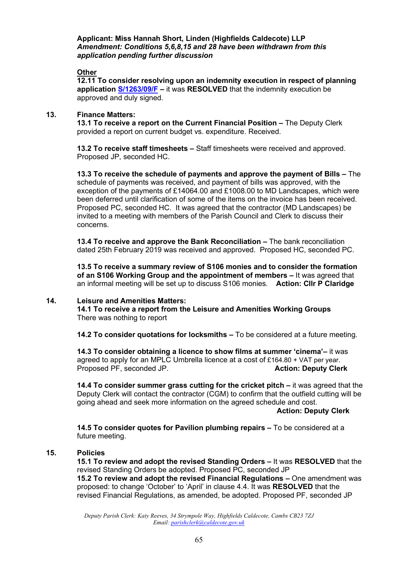**Applicant: Miss Hannah Short, Linden (Highfields Caldecote) LLP** *Amendment: Conditions 5,6,8,15 and 28 have been withdrawn from this application pending further discussion*

#### **Other**

**12.11 To consider resolving upon an indemnity execution in respect of planning application [S/1263/09/F](http://plan.scambs.gov.uk/swiftlg/apas/run/WPHAPPDETAIL.DisplayUrl?theApnID=S/1263/09/F&theTabNo=3&backURL=%3Ca%20href=wphappcriteria.display?paSearchKey=1390860%3ESearch%20Criteria%3C/a%3E%20%3E%20%3Ca%20href=%27wphappsearchres.displayResultsURL?ResultID=1873533%26StartIndex=1%26SortOrder=rgndat:desc%26DispResultsAs=WPHAPPSEARCHRES%26BackURL=%3Ca%20href=wphappcriteria.display?paSearchKey=1390860%3ESearch%20Criteria%3C/a%3E%27%3ESearch%20Results%3C/a%3E) –** it was **RESOLVED** that the indemnity execution be approved and duly signed.

#### **13. Finance Matters:**

**13.1 To receive a report on the Current Financial Position –** The Deputy Clerk provided a report on current budget vs. expenditure. Received.

**13.2 To receive staff timesheets –** Staff timesheets were received and approved. Proposed JP, seconded HC.

**13.3 To receive the schedule of payments and approve the payment of Bills –** The schedule of payments was received, and payment of bills was approved, with the exception of the payments of £14064.00 and £1008.00 to MD Landscapes, which were been deferred until clarification of some of the items on the invoice has been received. Proposed PC, seconded HC. It was agreed that the contractor (MD Landscapes) be invited to a meeting with members of the Parish Council and Clerk to discuss their concerns.

**13.4 To receive and approve the Bank Reconciliation –** The bank reconciliation dated 25th February 2019 was received and approved. Proposed HC, seconded PC.

**13.5 To receive a summary review of S106 monies and to consider the formation of an S106 Working Group and the appointment of members –** It was agreed that an informal meeting will be set up to discuss S106 monies. **Action: Cllr P Claridge**

#### **14. Leisure and Amenities Matters:**

**14.1 To receive a report from the Leisure and Amenities Working Groups** There was nothing to report

**14.2 To consider quotations for locksmiths –** To be considered at a future meeting.

**14.3 To consider obtaining a licence to show films at summer 'cinema'–** it was agreed to apply for an MPLC Umbrella licence at a cost of £164.80  $+$  VAT per year. Proposed PF, seconded JP. **Action: Deputy Clerk**

**14.4 To consider summer grass cutting for the cricket pitch –** it was agreed that the Deputy Clerk will contact the contractor (CGM) to confirm that the outfield cutting will be going ahead and seek more information on the agreed schedule and cost.

#### **Action: Deputy Clerk**

**14.5 To consider quotes for Pavilion plumbing repairs –** To be considered at a future meeting.

### **15. Policies**

**15.1 To review and adopt the revised Standing Orders –** It was **RESOLVED** that the revised Standing Orders be adopted. Proposed PC, seconded JP **15.2 To review and adopt the revised Financial Regulations –** One amendment was proposed: to change 'October' to 'April' in clause 4.4. It was **RESOLVED** that the revised Financial Regulations, as amended, be adopted. Proposed PF, seconded JP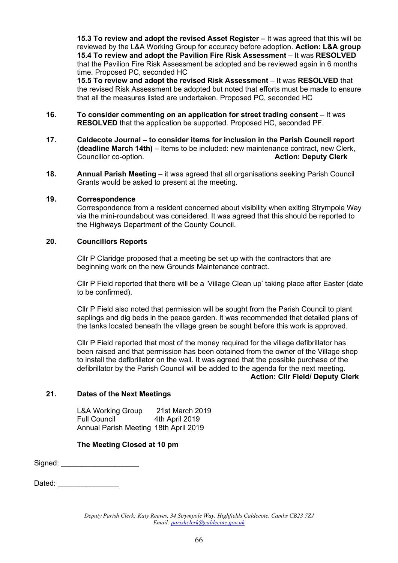**15.3 To review and adopt the revised Asset Register –** It was agreed that this will be reviewed by the L&A Working Group for accuracy before adoption. **Action: L&A group 15.4 To review and adopt the Pavilion Fire Risk Assessment** – It was **RESOLVED** that the Pavilion Fire Risk Assessment be adopted and be reviewed again in 6 months time. Proposed PC, seconded HC

**15.5 To review and adopt the revised Risk Assessment** – It was **RESOLVED** that the revised Risk Assessment be adopted but noted that efforts must be made to ensure that all the measures listed are undertaken. Proposed PC, seconded HC

- **16. To consider commenting on an application for street trading consent** It was **RESOLVED** that the application be supported. Proposed HC, seconded PF.
- **17. Caldecote Journal – to consider items for inclusion in the Parish Council report (deadline March 14th)** – Items to be included: new maintenance contract, new Clerk, Councillor co-option. **Action: Deputy Clerk**
- **18. Annual Parish Meeting** it was agreed that all organisations seeking Parish Council Grants would be asked to present at the meeting.

#### **19. Correspondence**

Correspondence from a resident concerned about visibility when exiting Strympole Way via the mini-roundabout was considered. It was agreed that this should be reported to the Highways Department of the County Council.

#### **20. Councillors Reports**

Cllr P Claridge proposed that a meeting be set up with the contractors that are beginning work on the new Grounds Maintenance contract.

Cllr P Field reported that there will be a 'Village Clean up' taking place after Easter (date to be confirmed).

Cllr P Field also noted that permission will be sought from the Parish Council to plant saplings and dig beds in the peace garden. It was recommended that detailed plans of the tanks located beneath the village green be sought before this work is approved.

Cllr P Field reported that most of the money required for the village defibrillator has been raised and that permission has been obtained from the owner of the Village shop to install the defibrillator on the wall. It was agreed that the possible purchase of the defibrillator by the Parish Council will be added to the agenda for the next meeting. **Action: Cllr Field/ Deputy Clerk**

### **21. Dates of the Next Meetings**

L&A Working Group 21st March 2019 Full Council 4th April 2019 Annual Parish Meeting 18th April 2019

### **The Meeting Closed at 10 pm**

Signed: \_\_\_\_\_\_\_\_\_\_\_\_\_\_\_\_\_\_\_

Dated:  $\Box$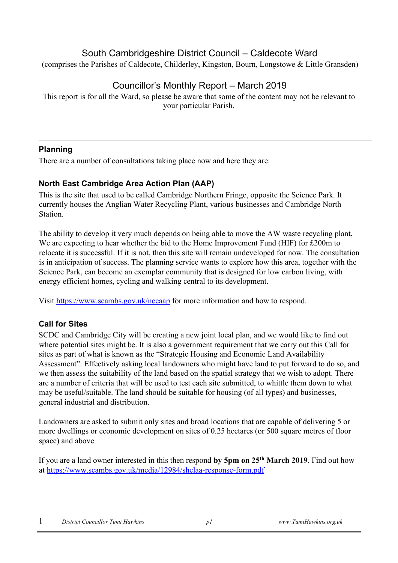## South Cambridgeshire District Council – Caldecote Ward

(comprises the Parishes of Caldecote, Childerley, Kingston, Bourn, Longstowe & Little Gransden)

# Councillor's Monthly Report – March 2019

This report is for all the Ward, so please be aware that some of the content may not be relevant to your particular Parish.

## **Planning**

There are a number of consultations taking place now and here they are:

## **North East Cambridge Area Action Plan (AAP)**

This is the site that used to be called Cambridge Northern Fringe, opposite the Science Park. It currently houses the Anglian Water Recycling Plant, various businesses and Cambridge North Station.

The ability to develop it very much depends on being able to move the AW waste recycling plant, We are expecting to hear whether the bid to the Home Improvement Fund (HIF) for £200m to relocate it is successful. If it is not, then this site will remain undeveloped for now. The consultation is in anticipation of success. The planning service wants to explore how this area, together with the Science Park, can become an exemplar community that is designed for low carbon living, with energy efficient homes, cycling and walking central to its development.

Visit<https://www.scambs.gov.uk/necaap> [f](https://www.scambs.gov.uk/necaap)or more information and how to respond.

## **Call for Sites**

SCDC and Cambridge City will be creating a new joint local plan, and we would like to find out where potential sites might be. It is also a government requirement that we carry out this Call for sites as part of what is known as the "Strategic Housing and Economic Land Availability Assessment". Effectively asking local landowners who might have land to put forward to do so, and we then assess the suitability of the land based on the spatial strategy that we wish to adopt. There are a number of criteria that will be used to test each site submitted, to whittle them down to what may be useful/suitable. The land should be suitable for housing (of all types) and businesses, general industrial and distribution.

Landowners are asked to submit only sites and broad locations that are capable of delivering 5 or more dwellings or economic development on sites of 0.25 hectares (or 500 square metres of floor space) and above

If you are a land owner interested in this then respond **by 5pm on 25th March 2019**. Find out how at<https://www.scambs.gov.uk/media/12984/shelaa-response-form.pdf>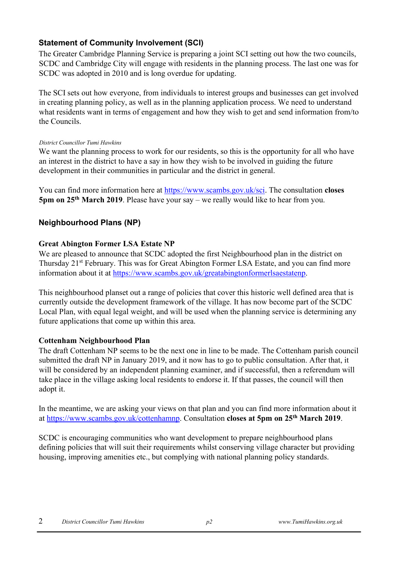### **Statement of Community Involvement (SCI)**

The Greater Cambridge Planning Service is preparing a joint SCI setting out how the two councils, SCDC and Cambridge City will engage with residents in the planning process. The last one was for SCDC was adopted in 2010 and is long overdue for updating.

The SCI sets out how everyone, from individuals to interest groups and businesses can get involved in creating planning policy, as well as in the planning application process. We need to understand what residents want in terms of engagement and how they wish to get and send information from/to the Councils.

### *District Councillor Tumi Hawkins*

We want the planning process to work for our residents, so this is the opportunity for all who have an interest in the district to have a say in how they wish to be involved in guiding the future development in their communities in particular and the district in general.

You can find more information here a[t](https://www.scambs.gov.uk/sci) [https://www.scambs.gov.uk/sci.](https://www.scambs.gov.uk/sci) The consultation **closes 5pm on 25th March 2019**. Please have your say – we really would like to hear from you.

## **Neighbourhood Plans (NP)**

### **Great Abington Former LSA Estate NP**

We are pleased to announce that SCDC adopted the first Neighbourhood plan in the district on Thursday 21<sup>st</sup> February. This was for Great Abington Former LSA Estate, and you can find more information about it at [https://www.scambs.gov.uk/greatabingtonformerlsaestatenp.](https://www.scambs.gov.uk/greatabingtonformerlsaestatenp)

This neighbourhood planset out a range of policies that cover this historic well defined area that is currently outside the development framework of the village. It has now become part of the SCDC Local Plan, with equal legal weight, and will be used when the planning service is determining any future applications that come up within this area.

### **Cottenham Neighbourhood Plan**

The draft Cottenham NP seems to be the next one in line to be made. The Cottenham parish council submitted the draft NP in January 2019, and it now has to go to public consultation. After that, it will be considered by an independent planning examiner, and if successful, then a referendum will take place in the village asking local residents to endorse it. If that passes, the council will then adopt it.

In the meantime, we are asking your views on that plan and you can find more information about it at [https://www.scambs.gov.uk/cottenhamnp.](https://www.scambs.gov.uk/cottenhamnp) Consultation **closes at 5pm on 25th March 2019**.

SCDC is encouraging communities who want development to prepare neighbourhood plans defining policies that will suit their requirements whilst conserving village character but providing housing, improving amenities etc., but complying with national planning policy standards.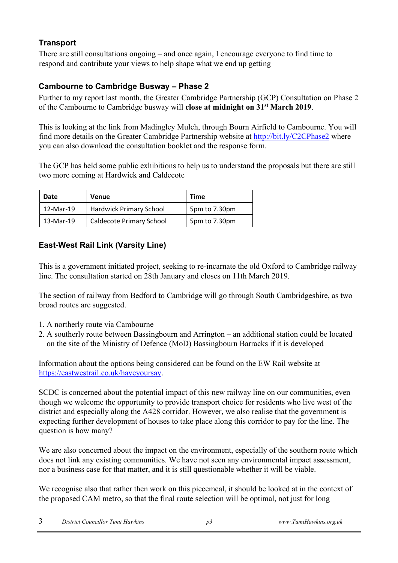## **Transport**

There are still consultations ongoing – and once again, I encourage everyone to find time to respond and contribute your views to help shape what we end up getting

## **Cambourne to Cambridge Busway – Phase 2**

Further to my report last month, the Greater Cambridge Partnership (GCP) Consultation on Phase 2 of the Cambourne to Cambridge busway will **close at midnight on 31st March 2019**.

This is looking at the link from Madingley Mulch, through Bourn Airfield to Cambourne. You will find more details on the Greater Cambridge Partnership website at<http://bit.ly/C2CPhase2> where you can also download the consultation booklet and the response form.

The GCP has held some public exhibitions to help us to understand the proposals but there are still two more coming at Hardwick and Caldecote

| Date      | <b>Venue</b>                    | <b>Time</b>   |
|-----------|---------------------------------|---------------|
| 12-Mar-19 | <b>Hardwick Primary School</b>  | 5pm to 7.30pm |
| 13-Mar-19 | <b>Caldecote Primary School</b> | 5pm to 7.30pm |

## **East-West Rail Link (Varsity Line)**

This is a government initiated project, seeking to re-incarnate the old Oxford to Cambridge railway line. The consultation started on 28th January and closes on 11th March 2019.

The section of railway from Bedford to Cambridge will go through South Cambridgeshire, as two broad routes are suggested.

- 1. A northerly route via Cambourne
- 2. A southerly route between Bassingbourn and Arrington an additional station could be located on the site of the Ministry of Defence (MoD) Bassingbourn Barracks if it is developed

Information about the options being considered can be found on the EW Rail website at [https://eastwestrail.co.uk/haveyoursay.](https://eastwestrail.co.uk/haveyoursay) 

SCDC is concerned about the potential impact of this new railway line on our communities, even though we welcome the opportunity to provide transport choice for residents who live west of the district and especially along the A428 corridor. However, we also realise that the government is expecting further development of houses to take place along this corridor to pay for the line. The question is how many?

We are also concerned about the impact on the environment, especially of the southern route which does not link any existing communities. We have not seen any environmental impact assessment, nor a business case for that matter, and it is still questionable whether it will be viable.

We recognise also that rather then work on this piecemeal, it should be looked at in the context of the proposed CAM metro, so that the final route selection will be optimal, not just for long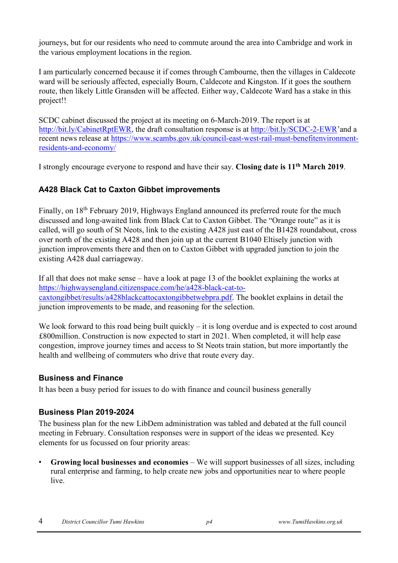journeys, but for our residents who need to commute around the area into Cambridge and work in the various employment locations in the region.

I am particularly concerned because it if comes through Cambourne, then the villages in Caldecote ward will be seriously affected, especially Bourn, Caldecote and Kingston. If it goes the southern route, then likely Little Gransden will be affected. Either way, Caldecote Ward has a stake in this project!!

SCDC cabinet discussed the project at its meeting on 6-March-2019. The report is at [http://bit.ly/CabinetRptEWR,](http://bit.ly/CabinetRptEWR) the draft consultation response is at <http://bit.ly/SCDC-2-EWR>['](http://bit.ly/SCDC-2-EWR)and a recent news release at [https://www.scambs.gov.uk/council-east-west-rail-must-benefitenvironment](https://www.scambs.gov.uk/council-east-west-rail-must-benefit-environment-residents-and-economy/)[residents-and-economy/](https://www.scambs.gov.uk/council-east-west-rail-must-benefit-environment-residents-and-economy/)

I strongly encourage everyone to respond and have their say. **Closing date is 11th March 2019**.

## **A428 Black Cat to Caxton Gibbet improvements**

Finally, on 18<sup>th</sup> February 2019, Highways England announced its preferred route for the much discussed and long-awaited link from Black Cat to Caxton Gibbet. The "Orange route" as it is called, will go south of St Neots, link to the existing A428 just east of the B1428 roundabout, cross over north of the existing A428 and then join up at the current B1040 Eltisely junction with junction improvements there and then on to Caxton Gibbet with upgraded junction to join the existing A428 dual carriageway.

If all that does not make sense – have a look at page 13 of the booklet explaining the works at [https://highwaysengland.citizenspace.com/he/a428-black-cat-to](https://highwaysengland.citizenspace.com/he/a428-black-cat-to-caxton-gibbet/results/a428blackcattocaxtongibbetwebpra.pdf)[caxtongibbet/results/a428blackcattocaxtongibbetwebpra.pdf.](https://highwaysengland.citizenspace.com/he/a428-black-cat-to-caxton-gibbet/results/a428blackcattocaxtongibbetwebpra.pdf) The booklet explains in detail the junction improvements to be made, and reasoning for the selection.

We look forward to this road being built quickly  $-$  it is long overdue and is expected to cost around £800million. Construction is now expected to start in 2021. When completed, it will help ease congestion, improve journey times and access to St Neots train station, but more importantly the health and wellbeing of commuters who drive that route every day.

### **Business and Finance**

It has been a busy period for issues to do with finance and council business generally

### **Business Plan 2019-2024**

The business plan for the new LibDem administration was tabled and debated at the full council meeting in February. Consultation responses were in support of the ideas we presented. Key elements for us focussed on four priority areas:

• **Growing local businesses and economies** – We will support businesses of all sizes, including rural enterprise and farming, to help create new jobs and opportunities near to where people live.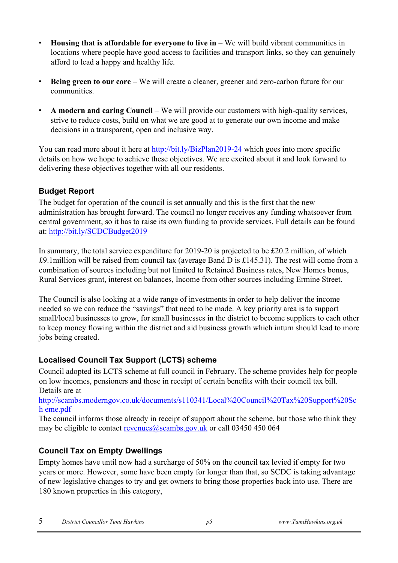- **Housing that is affordable for everyone to live in** We will build vibrant communities in locations where people have good access to facilities and transport links, so they can genuinely afford to lead a happy and healthy life.
- **Being green to our core** We will create a cleaner, greener and zero-carbon future for our communities.
- **A modern and caring Council** We will provide our customers with high-quality services, strive to reduce costs, build on what we are good at to generate our own income and make decisions in a transparent, open and inclusive way.

You can read more about it here at<http://bit.ly/BizPlan2019-24> which goes into more specific details on how we hope to achieve these objectives. We are excited about it and look forward to delivering these objectives together with all our residents.

## **Budget Report**

The budget for operation of the council is set annually and this is the first that the new administration has brought forward. The council no longer receives any funding whatsoever from central government, so it has to raise its own funding to provide services. Full details can be found at: <http://bit.ly/SCDCBudget2019>

In summary, the total service expenditure for 2019-20 is projected to be £20.2 million, of which £9.1million will be raised from council tax (average Band D is £145.31). The rest will come from a combination of sources including but not limited to Retained Business rates, New Homes bonus, Rural Services grant, interest on balances, Income from other sources including Ermine Street.

The Council is also looking at a wide range of investments in order to help deliver the income needed so we can reduce the "savings" that need to be made. A key priority area is to support small/local businesses to grow, for small businesses in the district to become suppliers to each other to keep money flowing within the district and aid business growth which inturn should lead to more jobs being created.

## **Localised Council Tax Support (LCTS) scheme**

Council adopted its LCTS scheme at full council in February. The scheme provides help for people on low incomes, pensioners and those in receipt of certain benefits with their council tax bill. Details are at

[http://scambs.moderngov.co.uk/documents/s110341/Local%20Council%20Tax%20Support%20Sc](http://scambs.moderngov.co.uk/documents/s110341/Local%20Council%20Tax%20Support%20Scheme.pdf) [h eme.pdf](http://scambs.moderngov.co.uk/documents/s110341/Local%20Council%20Tax%20Support%20Scheme.pdf)

The council informs those already in receipt of support about the scheme, but those who think they may be eligible to contact revenues  $\omega$ scambs.gov.uk or call 03450 450 064

## **Council Tax on Empty Dwellings**

Empty homes have until now had a surcharge of 50% on the council tax levied if empty for two years or more. However, some have been empty for longer than that, so SCDC is taking advantage of new legislative changes to try and get owners to bring those properties back into use. There are 180 known properties in this category,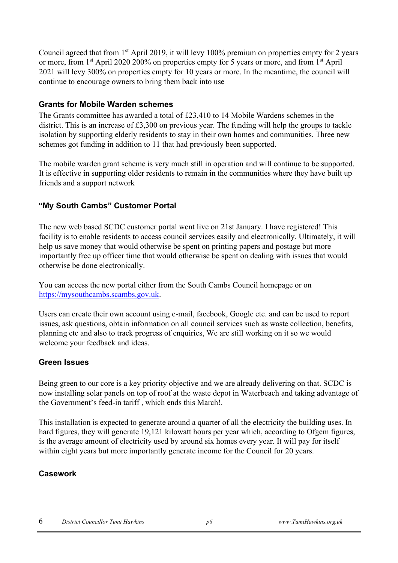Council agreed that from 1<sup>st</sup> April 2019, it will levy 100% premium on properties empty for 2 years or more, from 1<sup>st</sup> April 2020 200% on properties empty for 5 years or more, and from 1<sup>st</sup> April 2021 will levy 300% on properties empty for 10 years or more. In the meantime, the council will continue to encourage owners to bring them back into use

### **Grants for Mobile Warden schemes**

The Grants committee has awarded a total of £23,410 to 14 Mobile Wardens schemes in the district. This is an increase of £3,300 on previous year. The funding will help the groups to tackle isolation by supporting elderly residents to stay in their own homes and communities. Three new schemes got funding in addition to 11 that had previously been supported.

The mobile warden grant scheme is very much still in operation and will continue to be supported. It is effective in supporting older residents to remain in the communities where they have built up friends and a support network

### **"My South Cambs" Customer Portal**

The new web based SCDC customer portal went live on 21st January. I have registered! This facility is to enable residents to access council services easily and electronically. Ultimately, it will help us save money that would otherwise be spent on printing papers and postage but more importantly free up officer time that would otherwise be spent on dealing with issues that would otherwise be done electronically.

You can access the new portal either from the South Cambs Council homepage or on [https://mysouthcambs.scambs.gov.uk.](https://mysouthcambs.scambs.gov.uk/)

Users can create their own account using e-mail, facebook, Google etc. and can be used to report issues, ask questions, obtain information on all council services such as waste collection, benefits, planning etc and also to track progress of enquiries, We are still working on it so we would welcome your feedback and ideas.

### **Green Issues**

Being green to our core is a key priority objective and we are already delivering on that. SCDC is now installing solar panels on top of roof at the waste depot in Waterbeach and taking advantage of the Government's feed-in tariff , which ends this March!.

This installation is expected to generate around a quarter of all the electricity the building uses. In hard figures, they will generate 19,121 kilowatt hours per year which, according to Ofgem figures, is the average amount of electricity used by around six homes every year. It will pay for itself within eight years but more importantly generate income for the Council for 20 years.

### **Casework**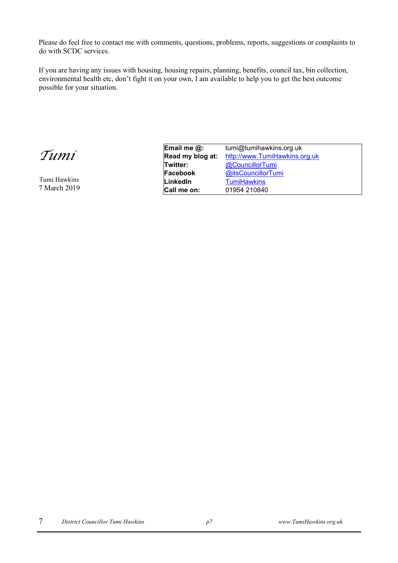Please do feel free to contact me with comments, questions, problems, reports, suggestions or complaints to do with SCDC services.

If you are having any issues with housing, housing repairs, planning, benefits, council tax, bin collection, environmental health etc, don't fight it on your own, I am available to help you to get the best outcome possible for your situation.

*Tumi* 

Tumi Hawkins 7 March 2019

| Email me $@:$    | tumi@tumihawkins.org.uk       |  |
|------------------|-------------------------------|--|
| Read my blog at: | http://www.TumiHawkins.org.uk |  |
| Twitter:         | @CouncillorTumi               |  |
| Facebook         | @itsCouncillorTumi            |  |
| LinkedIn         | <b>TumiHawkins</b>            |  |
| Call me on:      | 01954 210840                  |  |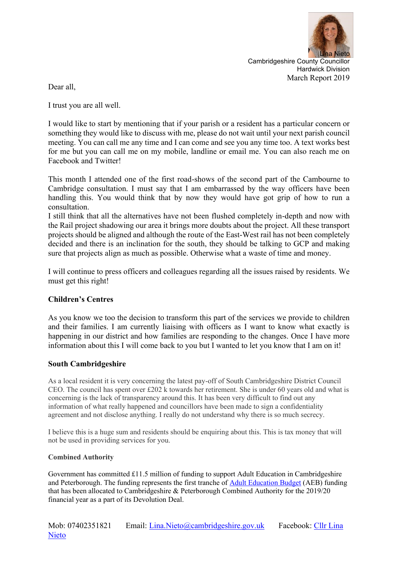

Cambridgeshire County Councillor Hardwick Division March Report 2019

Dear all,

I trust you are all well.

I would like to start by mentioning that if your parish or a resident has a particular concern or something they would like to discuss with me, please do not wait until your next parish council meeting. You can call me any time and I can come and see you any time too. A text works best for me but you can call me on my mobile, landline or email me. You can also reach me on Facebook and Twitter!

This month I attended one of the first road-shows of the second part of the Cambourne to Cambridge consultation. I must say that I am embarrassed by the way officers have been handling this. You would think that by now they would have got grip of how to run a consultation.

I still think that all the alternatives have not been flushed completely in-depth and now with the Rail project shadowing our area it brings more doubts about the project. All these transport projects should be aligned and although the route of the East-West rail has not been completely decided and there is an inclination for the south, they should be talking to GCP and making sure that projects align as much as possible. Otherwise what a waste of time and money.

I will continue to press officers and colleagues regarding all the issues raised by residents. We must get this right!

### **Children's Centres**

As you know we too the decision to transform this part of the services we provide to children and their families. I am currently liaising with officers as I want to know what exactly is happening in our district and how families are responding to the changes. Once I have more information about this I will come back to you but I wanted to let you know that I am on it!

### **South Cambridgeshire**

As a local resident it is very concerning the latest pay-off of South Cambridgeshire District Council CEO. The council has spent over £202 k towards her retirement. She is under 60 years old and what is concerning is the lack of transparency around this. It has been very difficult to find out any information of what really happened and councillors have been made to sign a confidentiality agreement and not disclose anything. I really do not understand why there is so much secrecy.

I believe this is a huge sum and residents should be enquiring about this. This is tax money that will not be used in providing services for you.

### **Combined Authority**

Government has committed  $\pounds$ 11.5 million of funding to support Adult Education in Cambridgeshire and Peterborough. The funding represents the first tranche of [Adult Education Budget](http://cambridgeshirepeterborough-ca.gov.uk/about-us/programmes/adult-education-budget/) (AEB) funding that has been allocated to Cambridgeshire & Peterborough Combined Authority for the 2019/20 financial year as a part of its Devolution Deal.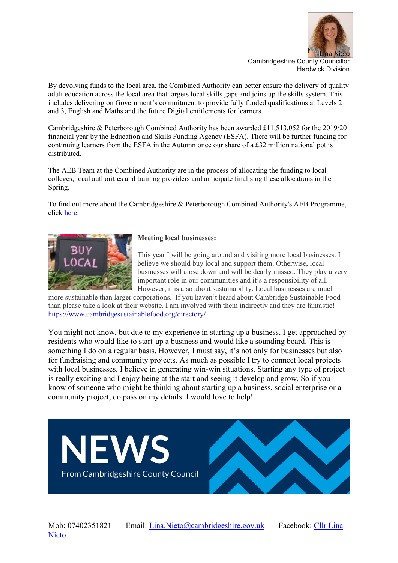

By devolving funds to the local area, the Combined Authority can better ensure the delivery of quality adult education across the local area that targets local skills gaps and joins up the skills system. This includes delivering on Government's commitment to provide fully funded qualifications at Levels 2 and 3, English and Maths and the future Digital entitlements for learners.

Cambridgeshire & Peterborough Combined Authority has been awarded £11,513,052 for the 2019/20 financial year by the Education and Skills Funding Agency (ESFA). There will be further funding for continuing learners from the ESFA in the Autumn once our share of a £32 million national pot is distributed.

The AEB Team at the Combined Authority are in the process of allocating the funding to local colleges, local authorities and training providers and anticipate finalising these allocations in the Spring.

To find out more about the Cambridgeshire & Peterborough Combined Authority's AEB Programme, click [here.](http://cambridgeshirepeterborough-ca.gov.uk/about-us/programmes/adult-education-budget/)



#### **Meeting local businesses:**

This year I will be going around and visiting more local businesses. I believe we should buy local and support them. Otherwise, local businesses will close down and will be dearly missed. They play a very important role in our communities and it's a responsibility of all. However, it is also about sustainability. Local businesses are much

more sustainable than larger corporations. If you haven't heard about Cambridge Sustainable Food than please take a look at their website. I am involved with them indirectly and they are fantastic! <https://www.cambridgesustainablefood.org/directory/>

You might not know, but due to my experience in starting up a business, I get approached by residents who would like to start-up a business and would like a sounding board. This is something I do on a regular basis. However, I must say, it's not only for businesses but also for fundraising and community projects. As much as possible I try to connect local projects with local businesses. I believe in generating win-win situations. Starting any type of project is really exciting and I enjoy being at the start and seeing it develop and grow. So if you know of someone who might be thinking about starting up a business, social enterprise or a community project, do pass on my details. I would love to help!

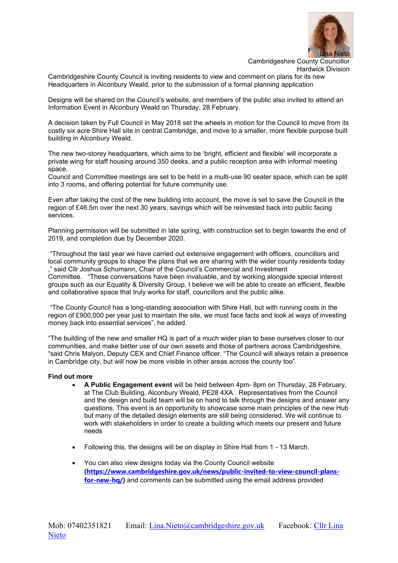

Cambridgeshire County Council is inviting residents to view and comment on plans for its new Headquarters in Alconbury Weald, prior to the submission of a formal planning application

Desians will be shared on the Council's website, and members of the public also invited to attend an Information Event in Alconbury Weald on Thursday, 28 February.

A decision taken by Full Council in May 2018 set the wheels in motion for the Council to move from its costly six acre Shire Hall site in central Cambridge, and move to a smaller, more flexible purpose built building in Alconbury Weald.

The new two-storey headquarters, which aims to be 'bright, efficient and flexible' will incorporate a private wing for staff housing around 350 desks, and a public reception area with informal meeting space.

Council and Committee meetings are set to be held in a multi-use 90 seater space, which can be split into 3 rooms, and offering potential for future community use.

Even after taking the cost of the new building into account, the move is set to save the Council in the region of £46.5m over the next 30 years, savings which will be reinvested back into public facing services.

Planning permission will be submitted in late spring, with construction set to begin towards the end of 2019, and completion due by December 2020.

"Throughout the last year we have carried out extensive engagement with officers, councillors and local community groups to shape the plans that we are sharing with the wider county residents today ," said Cllr Joshua Schumann, Chair of the Council's Commercial and Investment Committee. "These conversations have been invaluable, and by working alongside special interest groups such as our Equality & Diversity Group, I believe we will be able to create an efficient, flexible and collaborative space that truly works for staff, councillors and the public alike.

"The County Council has a long-standing association with Shire Hall, but with running costs in the region of £900,000 per year just to maintain the site, we must face facts and look at ways of investing money back into essential services", he added.

"The building of the new and smaller HQ is part of a much wider plan to base ourselves closer to our communities, and make better use of our own assets and those of partners across Cambridgeshire, "said Chris Malyon, Deputy CEX and Chief Finance officer. "The Council will always retain a presence in Cambridge city, but will now be more visible in other areas across the county too".

#### **Find out more**

- **A Public Engagement event** will be held between 4pm- 8pm on Thursday, 28 February, at The Club Building, Alconbury Weald, PE28 4XA. Representatives from the Council and the design and build team will be on hand to talk through the designs and answer any questions. This event is an opportunity to showcase some main principles of the new Hub but many of the detailed design elements are still being considered. We will continue to work with stakeholders in order to create a building which meets our present and future needs
- Following this, the designs will be on display in Shire Hall from 1 13 March.
- You can also view designs today via the County Council website **([https://www.cambridgeshire.gov.uk/news/public-invited-to-view-council-plans](http://tracking.vuelio.co.uk/tracking/click?d=xBtk-SmsD2Ldg1DN5un5qP89WYuJ7iO2LSSyVe9y1YPbuA2fKoHJi6FQmeCqBGHcGPjuJStB8UFcweyeqL5nXoZuP59eImb0ccGtXN7IIg7nLCYdX2RN5oIPH1OuqV0zioerHmSnyK9WvWBGitNp4wQjJUeXFwn9YgYeVCxmfcqzqgsLBs9F-xGeTdixPYfs_vzbdav0EI30Y4YDxxtwGU81)[for-new-hq/](http://tracking.vuelio.co.uk/tracking/click?d=xBtk-SmsD2Ldg1DN5un5qP89WYuJ7iO2LSSyVe9y1YPbuA2fKoHJi6FQmeCqBGHcGPjuJStB8UFcweyeqL5nXoZuP59eImb0ccGtXN7IIg7nLCYdX2RN5oIPH1OuqV0zioerHmSnyK9WvWBGitNp4wQjJUeXFwn9YgYeVCxmfcqzqgsLBs9F-xGeTdixPYfs_vzbdav0EI30Y4YDxxtwGU81))** and comments can be submitted using the email address provided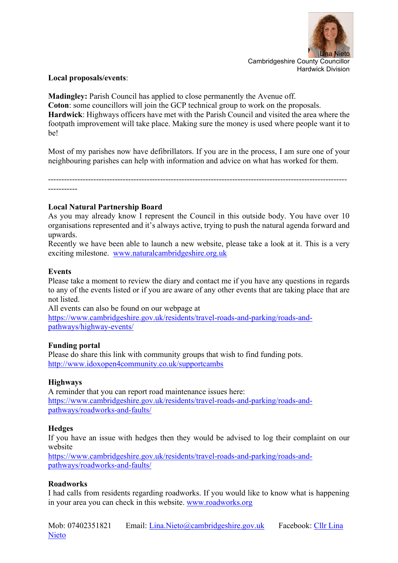

### **Local proposals/events**:

**Madingley:** Parish Council has applied to close permanently the Avenue off. **Coton**: some councillors will join the GCP technical group to work on the proposals. **Hardwick**: Highways officers have met with the Parish Council and visited the area where the footpath improvement will take place. Making sure the money is used where people want it to be!

Most of my parishes now have defibrillators. If you are in the process, I am sure one of your neighbouring parishes can help with information and advice on what has worked for them.

---------------------------------------------------------------------------------------------------------------- -----------

### **Local Natural Partnership Board**

As you may already know I represent the Council in this outside body. You have over 10 organisations represented and it's always active, trying to push the natural agenda forward and upwards.

Recently we have been able to launch a new website, please take a look at it. This is a very exciting milestone. [www.naturalcambridgeshire.org.uk](http://www.naturalcambridgeshire.org.uk/)

### **Events**

Please take a moment to review the diary and contact me if you have any questions in regards to any of the events listed or if you are aware of any other events that are taking place that are not listed.

All events can also be found on our webpage at [https://www.cambridgeshire.gov.uk/residents/travel-roads-and-parking/roads-and](https://www.cambridgeshire.gov.uk/residents/travel-roads-and-parking/roads-and-pathways/highway-events/)[pathways/highway-events/](https://www.cambridgeshire.gov.uk/residents/travel-roads-and-parking/roads-and-pathways/highway-events/)

### **Funding portal**

Please do share this link with community groups that wish to find funding pots. <http://www.idoxopen4community.co.uk/supportcambs>

### **Highways**

A reminder that you can report road maintenance issues here: [https://www.cambridgeshire.gov.uk/residents/travel-roads-and-parking/roads-and](https://www.cambridgeshire.gov.uk/residents/travel-roads-and-parking/roads-and-pathways/roadworks-and-faults/)[pathways/roadworks-and-faults/](https://www.cambridgeshire.gov.uk/residents/travel-roads-and-parking/roads-and-pathways/roadworks-and-faults/)

### **Hedges**

If you have an issue with hedges then they would be advised to log their complaint on our website

[https://www.cambridgeshire.gov.uk/residents/travel-roads-and-parking/roads-and](https://www.cambridgeshire.gov.uk/residents/travel-roads-and-parking/roads-and-pathways/roadworks-and-faults/)[pathways/roadworks-and-faults/](https://www.cambridgeshire.gov.uk/residents/travel-roads-and-parking/roads-and-pathways/roadworks-and-faults/)

### **Roadworks**

I had calls from residents regarding roadworks. If you would like to know what is happening in your area you can check in this website. [www.roadworks.org](http://www.roadworks.org/)